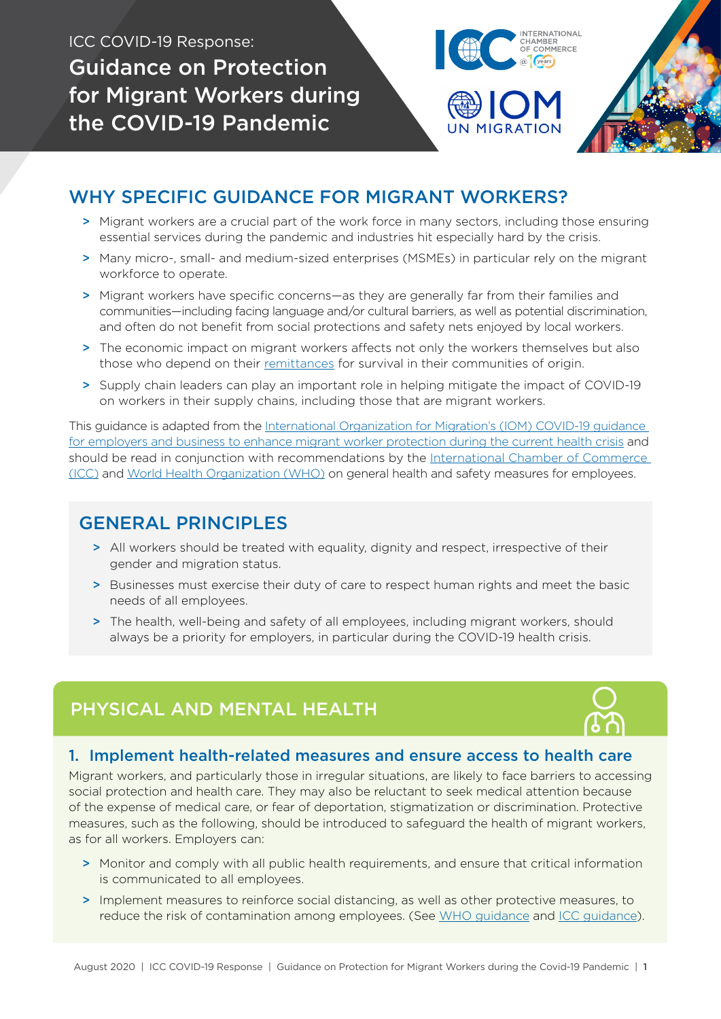ICC COVID-19 Response: Guidance on Protection for Migrant Workers during the COVID-19 Pandemic

WHY SPECIFIC GUIDANCE FOR MIGRANT WORKERS?

- > Migrant workers are a crucial part of the work force in many sectors, including those ensuring essential services during the pandemic and industries hit especially hard by the crisis.
- > Many micro-, small- and medium-sized enterprises (MSMEs) in particular rely on the migrant workforce to operate.
- > Migrant workers have specific concerns—as they are generally far from their families and communities—including facing language and/or cultural barriers, as well as potential discrimination, and often do not benefit from social protections and safety nets enjoyed by local workers.
- > The economic impact on migrant workers affects not only the workers themselves but also those who depend on their [remittances](https://iccwbo.org/publication/remittances-in-crisis/) for survival in their communities of origin.
- > Supply chain leaders can play an important role in helping mitigate the impact of COVID-19 on workers in their supply chains, including those that are migrant workers.

This guidance is adapted from the [International Organization for Migration's \(IOM\) COVID-19 guidance](https://iris.iom.int/covid-19-crisis-response)  [for employers and business to enhance migrant worker protection during the current health crisis](https://iris.iom.int/covid-19-crisis-response) and should be read in conjunction with recommendations by the I[nternational Chamber of Commerce](https://iccwbo.org/content/uploads/sites/3/2020/04/2020-icc-unicef-covid-19.pdf)  [\(ICC\)](https://iccwbo.org/content/uploads/sites/3/2020/04/2020-icc-unicef-covid-19.pdf) and [World Health Organization \(WHO\)](https://www.who.int/docs/default-source/coronaviruse/advice-for-workplace-clean-19-03-2020.pdf) on general health and safety measures for employees.

## GENERAL PRINCIPLES

- > All workers should be treated with equality, dignity and respect, irrespective of their gender and migration status.
- > Businesses must exercise their duty of care to respect human rights and meet the basic needs of all employees.
- > The health, well-being and safety of all employees, including migrant workers, should always be a priority for employers, in particular during the COVID-19 health crisis.

# PHYSICAL AND MENTAL HEALTH

#### 1. Implement health-related measures and ensure access to health care

Migrant workers, and particularly those in irregular situations, are likely to face barriers to accessing social protection and health care. They may also be reluctant to seek medical attention because of the expense of medical care, or fear of deportation, stigmatization or discrimination. Protective measures, such as the following, should be introduced to safeguard the health of migrant workers, as for all workers. Employers can:

- > Monitor and comply with all public health requirements, and ensure that critical information is communicated to all employees.
- > Implement measures to reinforce social distancing, as well as other protective measures, to reduce the risk of contamination among employees. (See [WHO guidance](https://www.who.int/docs/default-source/coronaviruse/advice-for-workplace-clean-19-03-2020.pdf) and [ICC guidance](https://iccwbo.org/content/uploads/sites/3/2020/03/coronavirus-guidelines-for-business-final.pdf)).



**ITERNATIONAL** CHAMBER<br>OF COMMERCE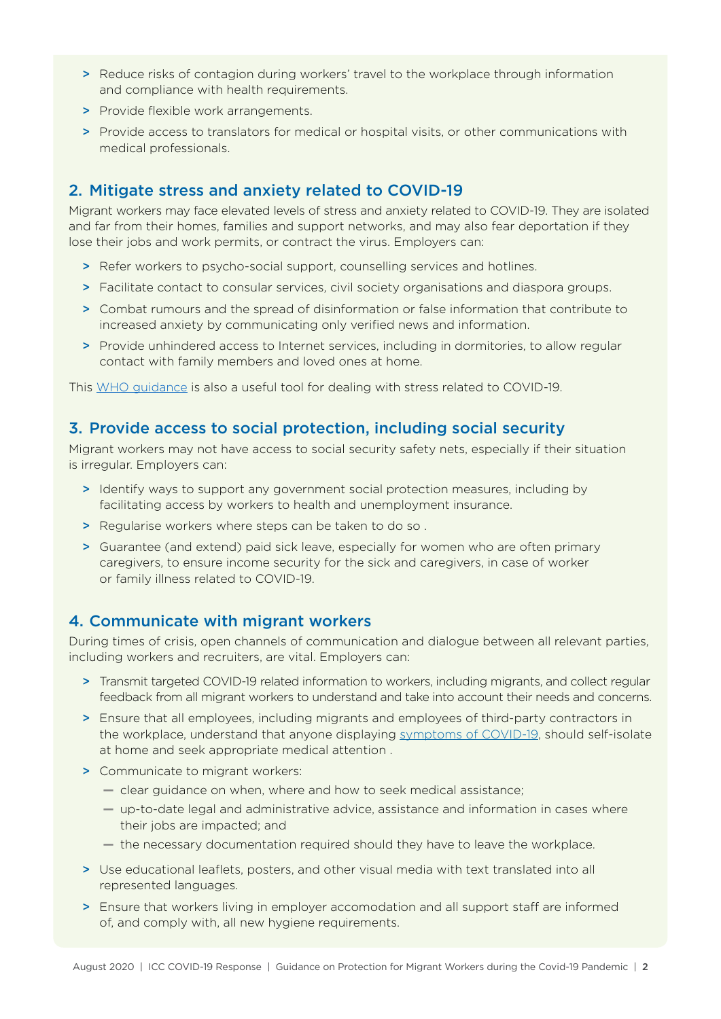- > Reduce risks of contagion during workers' travel to the workplace through information and compliance with health requirements.
- > Provide flexible work arrangements.
- > Provide access to translators for medical or hospital visits, or other communications with medical professionals.

#### 2. Mitigate stress and anxiety related to COVID-19

Migrant workers may face elevated levels of stress and anxiety related to COVID-19. They are isolated and far from their homes, families and support networks, and may also fear deportation if they lose their jobs and work permits, or contract the virus. Employers can:

- > Refer workers to psycho-social support, counselling services and hotlines.
- > Facilitate contact to consular services, civil society organisations and diaspora groups.
- > Combat rumours and the spread of disinformation or false information that contribute to increased anxiety by communicating only verified news and information.
- > Provide unhindered access to Internet services, including in dormitories, to allow regular contact with family members and loved ones at home.

This [WHO guidance](https://www.who.int/docs/default-source/coronaviruse/coping-with-stress.pdf?sfvrsn=9845bc3a_8) is also a useful tool for dealing with stress related to COVID-19.

#### 3. Provide access to social protection, including social security

Migrant workers may not have access to social security safety nets, especially if their situation is irregular. Employers can:

- > Identify ways to support any government social protection measures, including by facilitating access by workers to health and unemployment insurance.
- > Regularise workers where steps can be taken to do so.
- > Guarantee (and extend) paid sick leave, especially for women who are often primary caregivers, to ensure income security for the sick and caregivers, in case of worker or family illness related to COVID-19.

#### 4. Communicate with migrant workers

During times of crisis, open channels of communication and dialogue between all relevant parties, including workers and recruiters, are vital. Employers can:

- > Transmit targeted COVID-19 related information to workers, including migrants, and collect regular feedback from all migrant workers to understand and take into account their needs and concerns.
- > Ensure that all employees, including migrants and employees of third-party contractors in the workplace, understand that anyone displaying [symptoms of COVID-19,](https://www.who.int/news-room/q-a-detail/q-a-coronaviruses) should self-isolate at home and seek appropriate medical attention .
- > Communicate to migrant workers:
	- **—** clear guidance on when, where and how to seek medical assistance;
	- **—** up-to-date legal and administrative advice, assistance and information in cases where their jobs are impacted; and
	- **—** the necessary documentation required should they have to leave the workplace.
- > Use educational leaflets, posters, and other visual media with text translated into all represented languages.
- > Ensure that workers living in employer accomodation and all support staff are informed of, and comply with, all new hygiene requirements.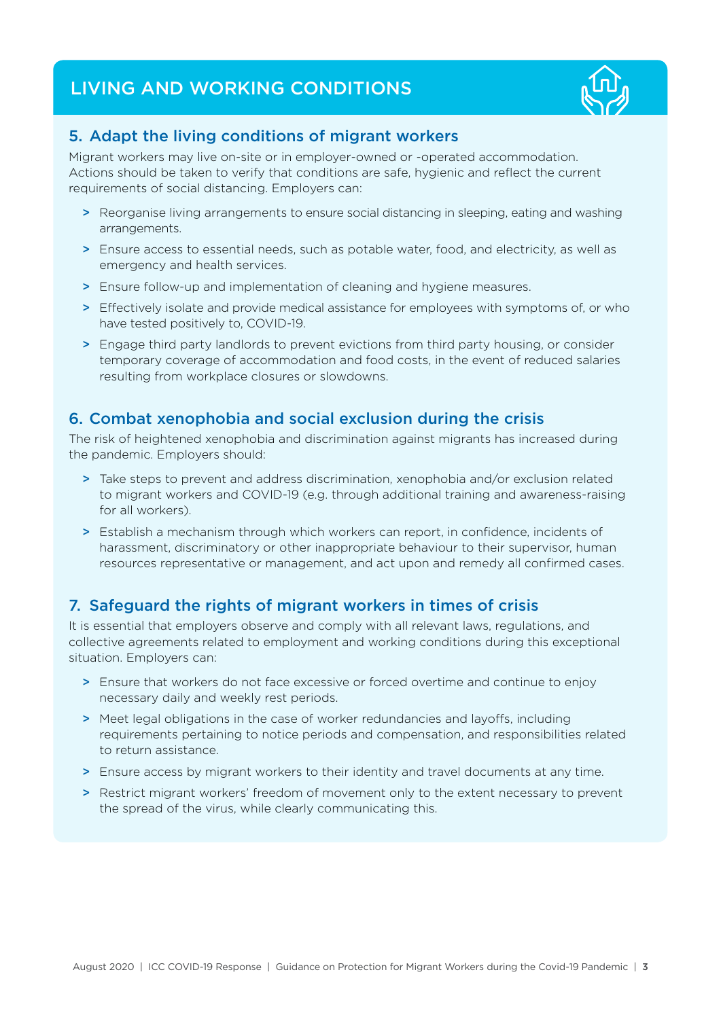# LIVING AND WORKING CONDITIONS



## 5. Adapt the living conditions of migrant workers

Migrant workers may live on-site or in employer-owned or -operated accommodation. Actions should be taken to verify that conditions are safe, hygienic and reflect the current requirements of social distancing. Employers can:

- > Reorganise living arrangements to ensure social distancing in sleeping, eating and washing arrangements.
- > Ensure access to essential needs, such as potable water, food, and electricity, as well as emergency and health services.
- > Ensure follow-up and implementation of cleaning and hygiene measures.
- > Effectively isolate and provide medical assistance for employees with symptoms of, or who have tested positively to, COVID-19.
- > Engage third party landlords to prevent evictions from third party housing, or consider temporary coverage of accommodation and food costs, in the event of reduced salaries resulting from workplace closures or slowdowns.

## 6. Combat xenophobia and social exclusion during the crisis

The risk of heightened xenophobia and discrimination against migrants has increased during the pandemic. Employers should:

- > Take steps to prevent and address discrimination, xenophobia and/or exclusion related to migrant workers and COVID-19 (e.g. through additional training and awareness-raising for all workers).
- > Establish a mechanism through which workers can report, in confidence, incidents of harassment, discriminatory or other inappropriate behaviour to their supervisor, human resources representative or management, and act upon and remedy all confirmed cases.

## 7. Safeguard the rights of migrant workers in times of crisis

It is essential that employers observe and comply with all relevant laws, regulations, and collective agreements related to employment and working conditions during this exceptional situation. Employers can:

- > Ensure that workers do not face excessive or forced overtime and continue to enjoy necessary daily and weekly rest periods.
- > Meet legal obligations in the case of worker redundancies and layoffs, including requirements pertaining to notice periods and compensation, and responsibilities related to return assistance.
- > Ensure access by migrant workers to their identity and travel documents at any time.
- > Restrict migrant workers' freedom of movement only to the extent necessary to prevent the spread of the virus, while clearly communicating this.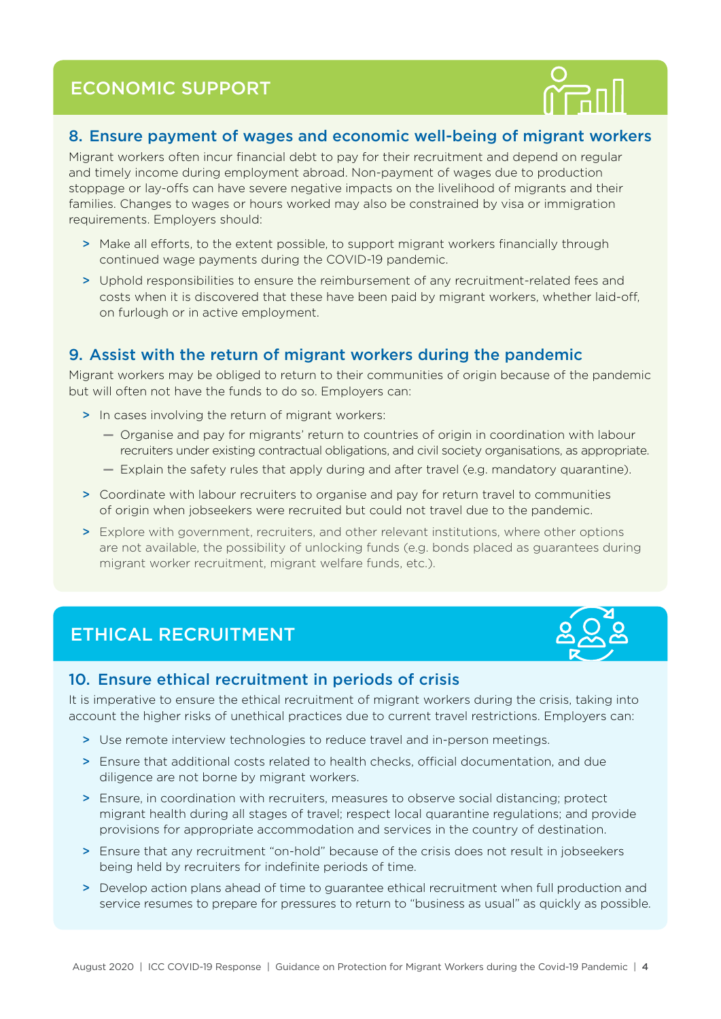# ECONOMIC SUPPORT



### 8. Ensure payment of wages and economic well-being of migrant workers

Migrant workers often incur financial debt to pay for their recruitment and depend on regular and timely income during employment abroad. Non-payment of wages due to production stoppage or lay-offs can have severe negative impacts on the livelihood of migrants and their families. Changes to wages or hours worked may also be constrained by visa or immigration requirements. Employers should:

- > Make all efforts, to the extent possible, to support migrant workers financially through continued wage payments during the COVID-19 pandemic.
- > Uphold responsibilities to ensure the reimbursement of any recruitment-related fees and costs when it is discovered that these have been paid by migrant workers, whether laid-off, on furlough or in active employment.

## 9. Assist with the return of migrant workers during the pandemic

Migrant workers may be obliged to return to their communities of origin because of the pandemic but will often not have the funds to do so. Employers can:

- > In cases involving the return of migrant workers:
	- **—** Organise and pay for migrants' return to countries of origin in coordination with labour recruiters under existing contractual obligations, and civil society organisations, as appropriate.
	- **—** Explain the safety rules that apply during and after travel (e.g. mandatory quarantine).
- > Coordinate with labour recruiters to organise and pay for return travel to communities of origin when jobseekers were recruited but could not travel due to the pandemic.
- > Explore with government, recruiters, and other relevant institutions, where other options are not available, the possibility of unlocking funds (e.g. bonds placed as guarantees during migrant worker recruitment, migrant welfare funds, etc.).

## ETHICAL RECRUITMENT



#### 10. Ensure ethical recruitment in periods of crisis

It is imperative to ensure the ethical recruitment of migrant workers during the crisis, taking into account the higher risks of unethical practices due to current travel restrictions. Employers can:

- > Use remote interview technologies to reduce travel and in-person meetings.
- > Ensure that additional costs related to health checks, official documentation, and due diligence are not borne by migrant workers.
- > Ensure, in coordination with recruiters, measures to observe social distancing; protect migrant health during all stages of travel; respect local quarantine regulations; and provide provisions for appropriate accommodation and services in the country of destination.
- > Ensure that any recruitment "on-hold" because of the crisis does not result in jobseekers being held by recruiters for indefinite periods of time.
- > Develop action plans ahead of time to guarantee ethical recruitment when full production and service resumes to prepare for pressures to return to "business as usual" as quickly as possible.